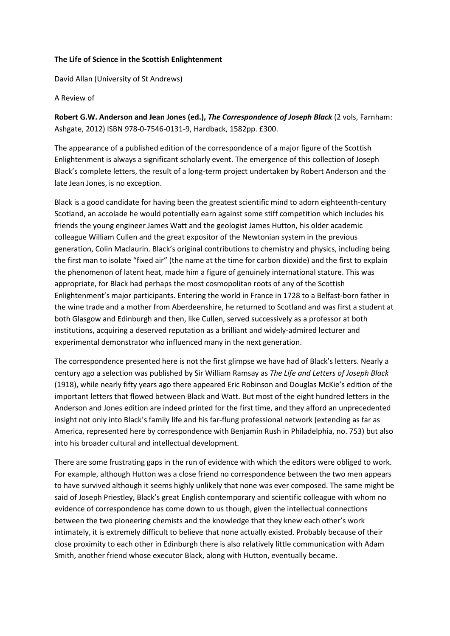## The Life of Science in the Scottish Enlightenment

David Allan (University of St Andrews)

## A Review of

Robert G.W. Anderson and Jean Jones (ed.), The Correspondence of Joseph Black (2 vols, Farnham: Ashgate, 2012) ISBN 978-0-7546-0131-9, Hardback, 1582pp. £300.

The appearance of a published edition of the correspondence of a major figure of the Scottish Enlightenment is always a significant scholarly event. The emergence of this collection of Joseph Black's complete letters, the result of a long-term project undertaken by Robert Anderson and the late Jean Jones, is no exception.

Black is a good candidate for having been the greatest scientific mind to adorn eighteenth-century Scotland, an accolade he would potentially earn against some stiff competition which includes his friends the young engineer James Watt and the geologist James Hutton, his older academic colleague William Cullen and the great expositor of the Newtonian system in the previous generation, Colin Maclaurin. Black's original contributions to chemistry and physics, including being the first man to isolate "fixed air" (the name at the time for carbon dioxide) and the first to explain the phenomenon of latent heat, made him a figure of genuinely international stature. This was appropriate, for Black had perhaps the most cosmopolitan roots of any of the Scottish Enlightenment's major participants. Entering the world in France in 1728 to a Belfast-born father in the wine trade and a mother from Aberdeenshire, he returned to Scotland and was first a student at both Glasgow and Edinburgh and then, like Cullen, served successively as a professor at both institutions, acquiring a deserved reputation as a brilliant and widely-admired lecturer and experimental demonstrator who influenced many in the next generation.

The correspondence presented here is not the first glimpse we have had of Black's letters. Nearly a century ago a selection was published by Sir William Ramsay as The Life and Letters of Joseph Black (1918), while nearly fifty years ago there appeared Eric Robinson and Douglas McKie's edition of the important letters that flowed between Black and Watt. But most of the eight hundred letters in the Anderson and Jones edition are indeed printed for the first time, and they afford an unprecedented insight not only into Black's family life and his far-flung professional network (extending as far as America, represented here by correspondence with Benjamin Rush in Philadelphia, no. 753) but also into his broader cultural and intellectual development.

There are some frustrating gaps in the run of evidence with which the editors were obliged to work. For example, although Hutton was a close friend no correspondence between the two men appears to have survived although it seems highly unlikely that none was ever composed. The same might be said of Joseph Priestley, Black's great English contemporary and scientific colleague with whom no evidence of correspondence has come down to us though, given the intellectual connections between the two pioneering chemists and the knowledge that they knew each other's work intimately, it is extremely difficult to believe that none actually existed. Probably because of their close proximity to each other in Edinburgh there is also relatively little communication with Adam Smith, another friend whose executor Black, along with Hutton, eventually became.